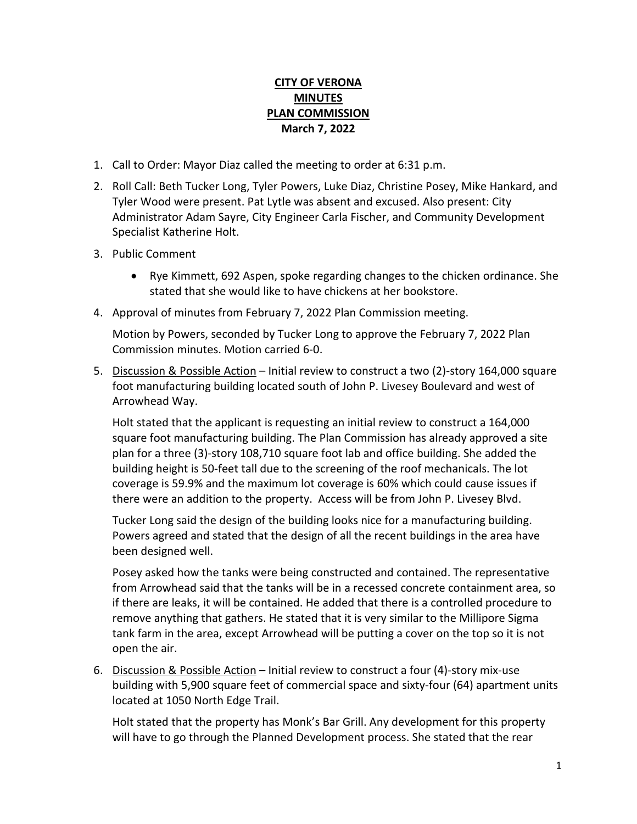## **CITY OF VERONA MINUTES PLAN COMMISSION March 7, 2022**

- 1. Call to Order: Mayor Diaz called the meeting to order at 6:31 p.m.
- 2. Roll Call: Beth Tucker Long, Tyler Powers, Luke Diaz, Christine Posey, Mike Hankard, and Tyler Wood were present. Pat Lytle was absent and excused. Also present: City Administrator Adam Sayre, City Engineer Carla Fischer, and Community Development Specialist Katherine Holt.
- 3. Public Comment
	- Rye Kimmett, 692 Aspen, spoke regarding changes to the chicken ordinance. She stated that she would like to have chickens at her bookstore.
- 4. Approval of minutes from February 7, 2022 Plan Commission meeting.

Motion by Powers, seconded by Tucker Long to approve the February 7, 2022 Plan Commission minutes. Motion carried 6-0.

5. Discussion & Possible Action – Initial review to construct a two (2)-story 164,000 square foot manufacturing building located south of John P. Livesey Boulevard and west of Arrowhead Way.

Holt stated that the applicant is requesting an initial review to construct a 164,000 square foot manufacturing building. The Plan Commission has already approved a site plan for a three (3)-story 108,710 square foot lab and office building. She added the building height is 50-feet tall due to the screening of the roof mechanicals. The lot coverage is 59.9% and the maximum lot coverage is 60% which could cause issues if there were an addition to the property. Access will be from John P. Livesey Blvd.

Tucker Long said the design of the building looks nice for a manufacturing building. Powers agreed and stated that the design of all the recent buildings in the area have been designed well.

Posey asked how the tanks were being constructed and contained. The representative from Arrowhead said that the tanks will be in a recessed concrete containment area, so if there are leaks, it will be contained. He added that there is a controlled procedure to remove anything that gathers. He stated that it is very similar to the Millipore Sigma tank farm in the area, except Arrowhead will be putting a cover on the top so it is not open the air.

6. Discussion & Possible Action – Initial review to construct a four (4)-story mix-use building with 5,900 square feet of commercial space and sixty-four (64) apartment units located at 1050 North Edge Trail.

Holt stated that the property has Monk's Bar Grill. Any development for this property will have to go through the Planned Development process. She stated that the rear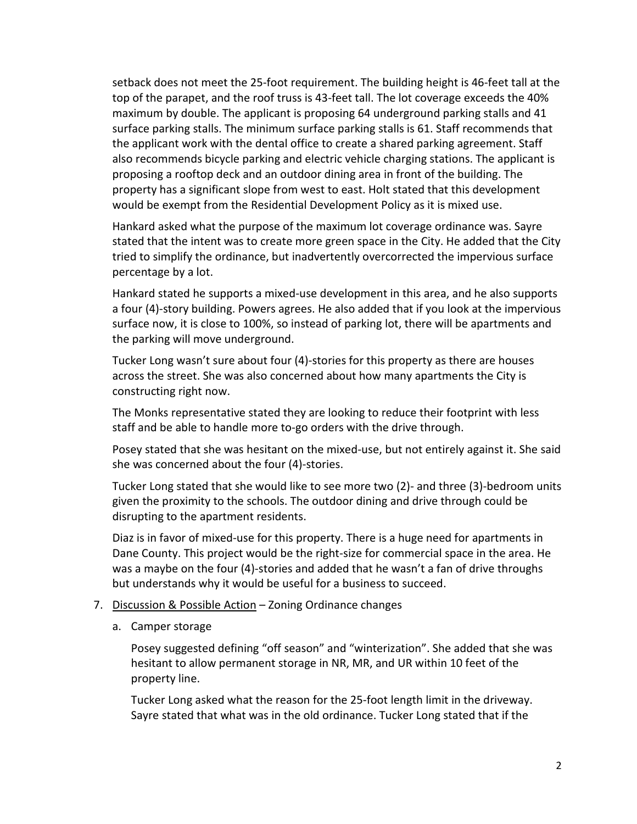setback does not meet the 25-foot requirement. The building height is 46-feet tall at the top of the parapet, and the roof truss is 43-feet tall. The lot coverage exceeds the 40% maximum by double. The applicant is proposing 64 underground parking stalls and 41 surface parking stalls. The minimum surface parking stalls is 61. Staff recommends that the applicant work with the dental office to create a shared parking agreement. Staff also recommends bicycle parking and electric vehicle charging stations. The applicant is proposing a rooftop deck and an outdoor dining area in front of the building. The property has a significant slope from west to east. Holt stated that this development would be exempt from the Residential Development Policy as it is mixed use.

Hankard asked what the purpose of the maximum lot coverage ordinance was. Sayre stated that the intent was to create more green space in the City. He added that the City tried to simplify the ordinance, but inadvertently overcorrected the impervious surface percentage by a lot.

Hankard stated he supports a mixed-use development in this area, and he also supports a four (4)-story building. Powers agrees. He also added that if you look at the impervious surface now, it is close to 100%, so instead of parking lot, there will be apartments and the parking will move underground.

Tucker Long wasn't sure about four (4)-stories for this property as there are houses across the street. She was also concerned about how many apartments the City is constructing right now.

The Monks representative stated they are looking to reduce their footprint with less staff and be able to handle more to-go orders with the drive through.

Posey stated that she was hesitant on the mixed-use, but not entirely against it. She said she was concerned about the four (4)-stories.

Tucker Long stated that she would like to see more two (2)- and three (3)-bedroom units given the proximity to the schools. The outdoor dining and drive through could be disrupting to the apartment residents.

Diaz is in favor of mixed-use for this property. There is a huge need for apartments in Dane County. This project would be the right-size for commercial space in the area. He was a maybe on the four (4)-stories and added that he wasn't a fan of drive throughs but understands why it would be useful for a business to succeed.

## 7. Discussion & Possible Action - Zoning Ordinance changes

a. Camper storage

Posey suggested defining "off season" and "winterization". She added that she was hesitant to allow permanent storage in NR, MR, and UR within 10 feet of the property line.

Tucker Long asked what the reason for the 25-foot length limit in the driveway. Sayre stated that what was in the old ordinance. Tucker Long stated that if the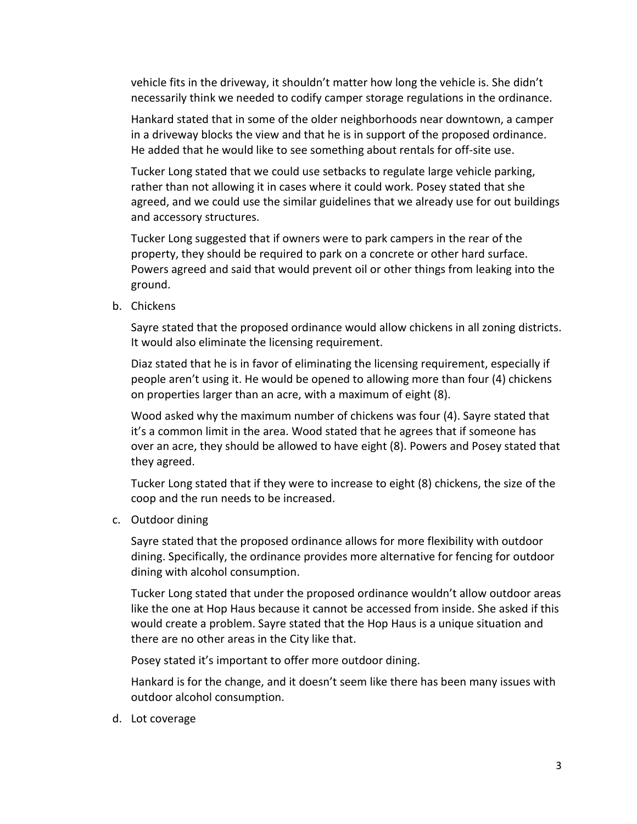vehicle fits in the driveway, it shouldn't matter how long the vehicle is. She didn't necessarily think we needed to codify camper storage regulations in the ordinance.

Hankard stated that in some of the older neighborhoods near downtown, a camper in a driveway blocks the view and that he is in support of the proposed ordinance. He added that he would like to see something about rentals for off-site use.

Tucker Long stated that we could use setbacks to regulate large vehicle parking, rather than not allowing it in cases where it could work. Posey stated that she agreed, and we could use the similar guidelines that we already use for out buildings and accessory structures.

Tucker Long suggested that if owners were to park campers in the rear of the property, they should be required to park on a concrete or other hard surface. Powers agreed and said that would prevent oil or other things from leaking into the ground.

b. Chickens

Sayre stated that the proposed ordinance would allow chickens in all zoning districts. It would also eliminate the licensing requirement.

Diaz stated that he is in favor of eliminating the licensing requirement, especially if people aren't using it. He would be opened to allowing more than four (4) chickens on properties larger than an acre, with a maximum of eight (8).

Wood asked why the maximum number of chickens was four (4). Sayre stated that it's a common limit in the area. Wood stated that he agrees that if someone has over an acre, they should be allowed to have eight (8). Powers and Posey stated that they agreed.

Tucker Long stated that if they were to increase to eight (8) chickens, the size of the coop and the run needs to be increased.

c. Outdoor dining

Sayre stated that the proposed ordinance allows for more flexibility with outdoor dining. Specifically, the ordinance provides more alternative for fencing for outdoor dining with alcohol consumption.

Tucker Long stated that under the proposed ordinance wouldn't allow outdoor areas like the one at Hop Haus because it cannot be accessed from inside. She asked if this would create a problem. Sayre stated that the Hop Haus is a unique situation and there are no other areas in the City like that.

Posey stated it's important to offer more outdoor dining.

Hankard is for the change, and it doesn't seem like there has been many issues with outdoor alcohol consumption.

d. Lot coverage